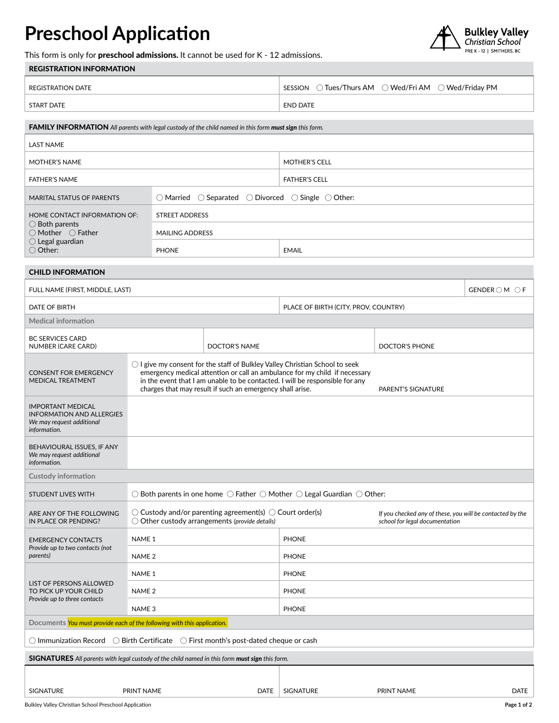## **Preschool Application**



This form is only for preschool admissions. It cannot be used for K - 12 admissions.

| <b>REGISTRATION INFORMATION</b> |  |
|---------------------------------|--|

| REGISTRATION DATE | $\supset$ Tues/Thurs AM $\supseteq$ Wed/Fri AM $\supseteq$ Wed/Friday PM $\supseteq$<br>SESSION |
|-------------------|-------------------------------------------------------------------------------------------------|
| <b>START DATE</b> | <b>END DATE</b>                                                                                 |

| <b>FAMILY INFORMATION</b> All parents with legal custody of the child named in this form must sign this form. |                                                                                                 |                      |  |
|---------------------------------------------------------------------------------------------------------------|-------------------------------------------------------------------------------------------------|----------------------|--|
| LAST NAME                                                                                                     |                                                                                                 |                      |  |
| <b>MOTHER'S NAME</b>                                                                                          |                                                                                                 | <b>MOTHER'S CELL</b> |  |
| <b>FATHER'S NAME</b>                                                                                          |                                                                                                 | <b>FATHER'S CELL</b> |  |
| <b>MARITAL STATUS OF PARENTS</b>                                                                              | $\bigcirc$ Married $\bigcirc$ Separated $\bigcirc$ Divorced $\bigcirc$ Single $\bigcirc$ Other: |                      |  |
| HOME CONTACT INFORMATION OF:                                                                                  | STREET ADDRESS                                                                                  |                      |  |
| $\bigcirc$ Both parents<br>$\bigcirc$ Mother $\bigcirc$ Father                                                | <b>MAILING ADDRESS</b>                                                                          |                      |  |
| $\bigcirc$ Legal guardian<br>$\bigcirc$ Other:                                                                | <b>PHONE</b>                                                                                    | <b>EMAIL</b>         |  |

## CHILD INFORMATION

| FULL NAME (FIRST, MIDDLE, LAST)                                                                           |                                                                                                                     |                                                                                                                                                                                                                                                                                                                  |                  |                                                                                             | $GENDER \bigcirc M \bigcirc F$ |
|-----------------------------------------------------------------------------------------------------------|---------------------------------------------------------------------------------------------------------------------|------------------------------------------------------------------------------------------------------------------------------------------------------------------------------------------------------------------------------------------------------------------------------------------------------------------|------------------|---------------------------------------------------------------------------------------------|--------------------------------|
| <b>DATE OF BIRTH</b>                                                                                      |                                                                                                                     | PLACE OF BIRTH (CITY, PROV, COUNTRY)                                                                                                                                                                                                                                                                             |                  |                                                                                             |                                |
| <b>Medical information</b>                                                                                |                                                                                                                     |                                                                                                                                                                                                                                                                                                                  |                  |                                                                                             |                                |
| <b>BC SERVICES CARD</b><br>NUMBER (CARE CARD)                                                             |                                                                                                                     | DOCTOR'S NAME                                                                                                                                                                                                                                                                                                    |                  | DOCTOR'S PHONE                                                                              |                                |
| <b>CONSENT FOR EMERGENCY</b><br><b>MEDICAL TREATMENT</b>                                                  |                                                                                                                     | $\bigcirc$ I give my consent for the staff of Bulkley Valley Christian School to seek<br>emergency medical attention or call an ambulance for my child if necessary<br>in the event that I am unable to be contacted. I will be responsible for any<br>charges that may result if such an emergency shall arise. |                  | PARENT'S SIGNATURE                                                                          |                                |
| <b>IMPORTANT MEDICAL</b><br><b>INFORMATION AND ALLERGIES</b><br>We may request additional<br>information. |                                                                                                                     |                                                                                                                                                                                                                                                                                                                  |                  |                                                                                             |                                |
| BEHAVIOURAL ISSUES, IF ANY<br>We may request additional<br>information.                                   |                                                                                                                     |                                                                                                                                                                                                                                                                                                                  |                  |                                                                                             |                                |
| <b>Custody information</b>                                                                                |                                                                                                                     |                                                                                                                                                                                                                                                                                                                  |                  |                                                                                             |                                |
| <b>STUDENT LIVES WITH</b>                                                                                 | $\bigcirc$ Both parents in one home $\bigcirc$ Father $\bigcirc$ Mother $\bigcirc$ Legal Guardian $\bigcirc$ Other: |                                                                                                                                                                                                                                                                                                                  |                  |                                                                                             |                                |
| ARE ANY OF THE FOLLOWING<br>IN PLACE OR PENDING?                                                          |                                                                                                                     | $\circlearrowright$ Custody and/or parenting agreement(s) $\circlearrowright$ Court order(s)<br>$\bigcirc$ Other custody arrangements (provide details)                                                                                                                                                          |                  | If you checked any of these, you will be contacted by the<br>school for legal documentation |                                |
| <b>EMERGENCY CONTACTS</b><br>Provide up to two contacts (not<br>parents)                                  | NAME <sub>1</sub>                                                                                                   |                                                                                                                                                                                                                                                                                                                  | <b>PHONE</b>     |                                                                                             |                                |
|                                                                                                           | NAME <sub>2</sub>                                                                                                   |                                                                                                                                                                                                                                                                                                                  | <b>PHONE</b>     |                                                                                             |                                |
| LIST OF PERSONS ALLOWED<br>TO PICK UP YOUR CHILD                                                          | NAME <sub>1</sub>                                                                                                   |                                                                                                                                                                                                                                                                                                                  | <b>PHONE</b>     |                                                                                             |                                |
|                                                                                                           | NAME <sub>2</sub>                                                                                                   |                                                                                                                                                                                                                                                                                                                  | <b>PHONE</b>     |                                                                                             |                                |
| Provide up to three contacts                                                                              | NAME <sub>3</sub>                                                                                                   |                                                                                                                                                                                                                                                                                                                  | <b>PHONE</b>     |                                                                                             |                                |
| Documents You must provide each of the following with this application.                                   |                                                                                                                     |                                                                                                                                                                                                                                                                                                                  |                  |                                                                                             |                                |
| ○ Immunization Record ○ Birth Certificate ○ First month's post-dated cheque or cash                       |                                                                                                                     |                                                                                                                                                                                                                                                                                                                  |                  |                                                                                             |                                |
| <b>SIGNATURES</b> All parents with legal custody of the child named in this form must sign this form.     |                                                                                                                     |                                                                                                                                                                                                                                                                                                                  |                  |                                                                                             |                                |
|                                                                                                           |                                                                                                                     |                                                                                                                                                                                                                                                                                                                  |                  |                                                                                             |                                |
| <b>SIGNATURE</b>                                                                                          | PRINT NAME                                                                                                          | <b>DATE</b>                                                                                                                                                                                                                                                                                                      | <b>SIGNATURE</b> | PRINT NAME                                                                                  | <b>DATE</b>                    |